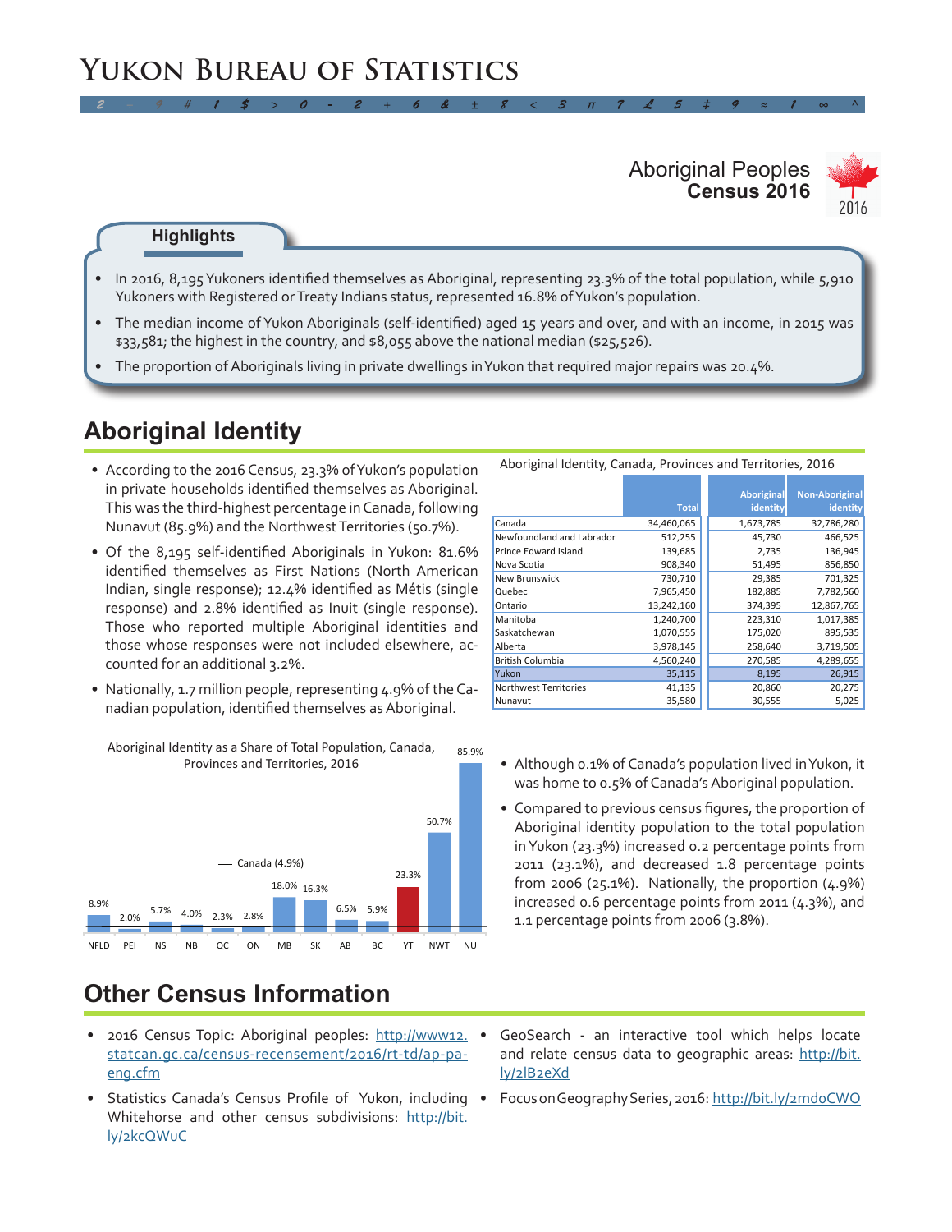# **Yukon Bureau of Statistics**

#### **Census 2016** Aboriginal Peoples



#### **Highlights**

In 2016, 8,195 Yukoners identified themselves as Aboriginal, representing 23.3% of the total population, while  $5,910$ Yukoners with Registered or Treaty Indians status, represented 16.8% of Yukon's population.

*2 ÷ 9 # 1 \$ > 0 - 2 + 6 & ± 8 < 3 π 7 £ 5 ‡ 9 ≈ 1 ∞ ^*

- • The median income of Yukon Aboriginals (self-identified) aged 15 years and over, and with an income, in 2015 was \$33,581; the highest in the country, and \$8,055 above the national median (\$25,526).
- The proportion of Aboriginals living in private dwellings in Yukon that required major repairs was 20.4%.

### **Aboriginal Identity**

- According to the 2016 Census, 23.3% of Yukon's population in private households identified themselves as Aboriginal. This was the third-highest percentage inCanada, following Nunavut (85.9%) and the NorthwestTerritories (50.7%).
- Of the 8,195 self-identified Aboriginals in Yukon: 81.6% identified themselves as First Nations (North American Indian, single response); 12.4% identified as Métis (single response) and 2.8% identified as Inuit (single response). Those who reported multiple Aboriginal identities and those whose responses were not included elsewhere, accounted for an additional 3.2%.
- Nationally, 1.7 million people, representing 4.9% of the Canadian population, identified themselves as Aboriginal.



#### 85.9% Aboriginal Identity as a Share of Total Population, Canada,

### **Other Census Information**

- 2016 Census Topic: Aboriginal peoples: [http://www12.](http://www12.statcan.gc.ca/census-recensement/2016/rt-td/ap-pa-eng.cfm) [statcan.gc.ca/census-recensement/2016/rt-td/ap-pa](http://www12.statcan.gc.ca/census-recensement/2016/rt-td/ap-pa-eng.cfm)[eng.cfm](http://www12.statcan.gc.ca/census-recensement/2016/rt-td/ap-pa-eng.cfm)
- Statistics Canada's Census Profile of Yukon, including FocusonGeographySeries, 2016: http://bit.ly/2mdoCWO Whitehorse and other census subdivisions: [http://bit.](http://bit.ly/2kcQWuC) [ly/2kcQWuC](http://bit.ly/2kcQWuC)
- GeoSearch an interactive tool which helps locate and relate census data to geographic areas: [http://bit.](http://bit.ly/2lB2eXd) [ly/2lB2eXd](http://bit.ly/2lB2eXd)
- 

|                           | <b>Total</b> | <b>Aboriginal</b><br>identity | <b>Non-Aboriginal</b><br>identity |
|---------------------------|--------------|-------------------------------|-----------------------------------|
| Canada                    | 34,460,065   | 1,673,785                     | 32,786,280                        |
| Newfoundland and Labrador | 512,255      | 45,730                        | 466,525                           |
| Prince Edward Island      | 139,685      | 2,735                         | 136,945                           |
| Nova Scotia               | 908,340      | 51,495                        | 856,850                           |
| <b>New Brunswick</b>      | 730,710      | 29,385                        | 701,325                           |
| Quebec                    | 7,965,450    | 182,885                       | 7,782,560                         |
| Ontario                   | 13,242,160   | 374,395                       | 12,867,765                        |
| Manitoba                  | 1,240,700    | 223,310                       | 1,017,385                         |
| Saskatchewan              | 1,070,555    | 175,020                       | 895,535                           |
| Alberta                   | 3,978,145    | 258,640                       | 3,719,505                         |
| <b>British Columbia</b>   | 4,560,240    | 270,585                       | 4,289,655                         |
| Yukon                     | 35,115       | 8,195                         | 26,915                            |
| Northwest Territories     | 41,135       | 20,860                        | 20,275                            |
| Nunavut                   | 35,580       | 30,555                        | 5,025                             |

- Provinces and Territories, 2016 **Although 0.1% of Canada's population lived in Yukon**, it was home to 0.5% of Canada's Aboriginal population.
	- • Compared to previous census figures, the proportion of Aboriginal identity population to the total population inYukon (23.3%) increased 0.2 percentage points from 2011 (23.1%), and decreased 1.8 percentage points from 2006 (25.1%). Nationally, the proportion  $(4.9\%)$ increased 0.6 percentage points from 2011 (4.3%), and 1.1 percentage points from 2006 (3.8%).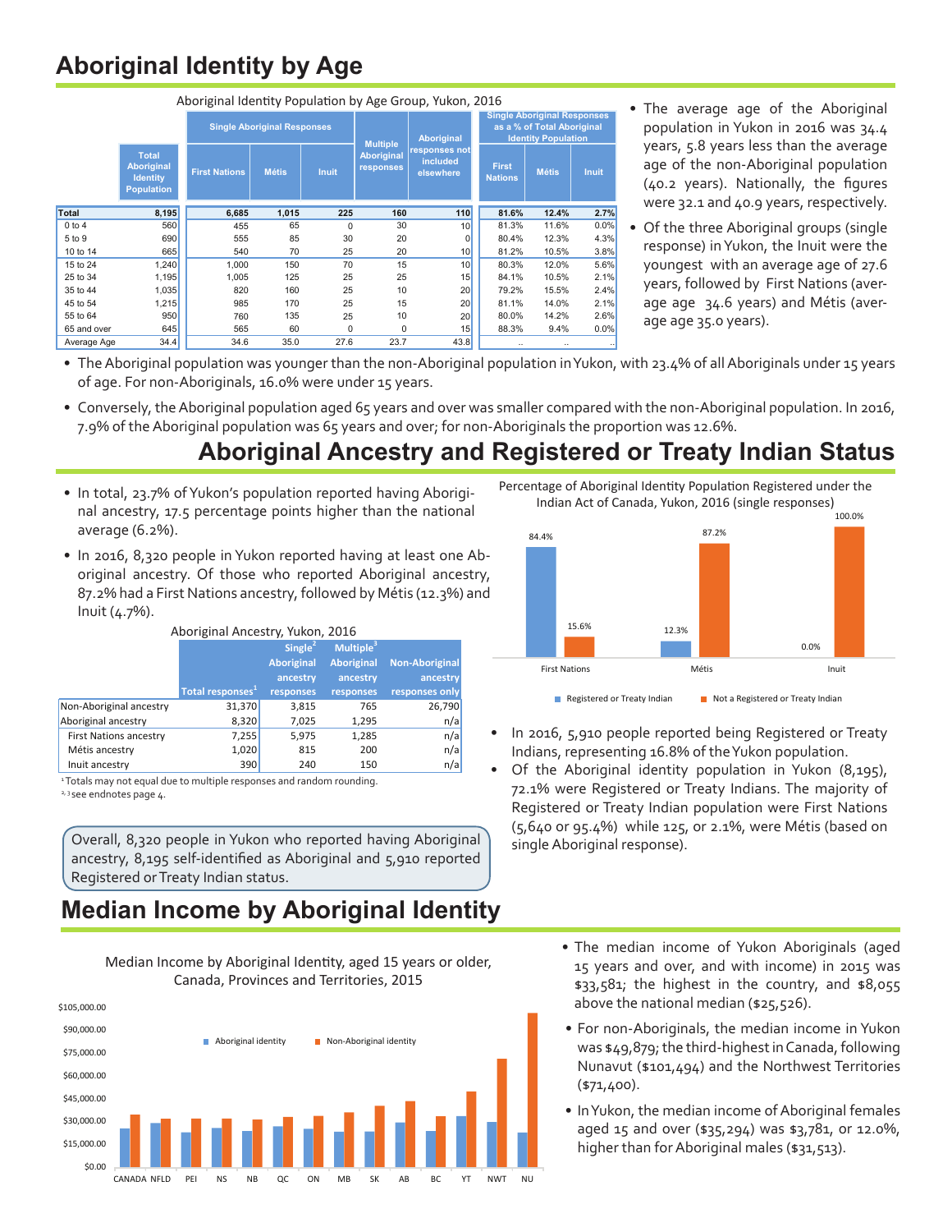## **Aboriginal Identity by Age**

| Aboriginal Identity Population by Age Group, Yukon, 2016 |                                                                           |                                    |              |                 |                                |                                                                                                |                                |              |              |
|----------------------------------------------------------|---------------------------------------------------------------------------|------------------------------------|--------------|-----------------|--------------------------------|------------------------------------------------------------------------------------------------|--------------------------------|--------------|--------------|
|                                                          |                                                                           | <b>Single Aboriginal Responses</b> |              | <b>Multiple</b> | <b>Aboriginal</b>              | <b>Single Aboriginal Responses</b><br>as a % of Total Aboriginal<br><b>Identity Population</b> |                                |              |              |
|                                                          | <b>Total</b><br><b>Aboriginal</b><br><b>Identity</b><br><b>Population</b> | <b>First Nations</b>               | <b>Métis</b> | <b>Inuit</b>    | <b>Aboriginal</b><br>responses | responses not<br>included<br>elsewhere                                                         | <b>First</b><br><b>Nations</b> | <b>Métis</b> | <b>Inuit</b> |
| Total                                                    | 8,195                                                                     | 6,685                              | 1,015        | 225             | 160                            | 110                                                                                            | 81.6%                          | 12.4%        | 2.7%         |
| 0 to 4                                                   | 560                                                                       | 455                                | 65           | $\Omega$        | 30                             | 10 <sup>1</sup>                                                                                | 81.3%                          | 11.6%        | 0.0%         |
| 5 to 9                                                   | 690                                                                       | 555                                | 85           | 30              | 20                             | $\overline{0}$                                                                                 | 80.4%                          | 12.3%        | 4.3%         |
| 10 to 14                                                 | 665                                                                       | 540                                | 70           | 25              | 20                             | 10                                                                                             | 81.2%                          | 10.5%        | 3.8%         |
| 15 to 24                                                 | 1,240                                                                     | 1,000                              | 150          | 70              | 15                             | 10 <sup>1</sup>                                                                                | 80.3%                          | 12.0%        | 5.6%         |
| 25 to 34                                                 | 1,195                                                                     | 1,005                              | 125          | 25              | 25                             | 15                                                                                             | 84.1%                          | 10.5%        | 2.1%         |
| 35 to 44                                                 | 1,035                                                                     | 820                                | 160          | 25              | 10                             | 20                                                                                             | 79.2%                          | 15.5%        | 2.4%         |
| 45 to 54                                                 | 1,215                                                                     | 985                                | 170          | 25              | 15                             | 20                                                                                             | 81.1%                          | 14.0%        | 2.1%         |
| 55 to 64                                                 | 950                                                                       | 760                                | 135          | 25              | 10                             | 20                                                                                             | 80.0%                          | 14.2%        | 2.6%         |
| 65 and over                                              | 645                                                                       | 565                                | 60           | 0               | 0                              | 15                                                                                             | 88.3%                          | 9.4%         | 0.0%         |
| Average Age                                              | 34.4                                                                      | 34.6                               | 35.0         | 27.6            | 23.7                           | 43.8                                                                                           |                                |              |              |

- The average age of the Aboriginal population in Yukon in 2016 was 34.4 years, 5.8 years less than the average age of the non-Aboriginal population (40.2 years). Nationally, the figures were 32.1 and 40.9 years, respectively.
- Of the three Aboriginal groups (single response) inYukon, the Inuit were the youngest with an average age of 27.6 years, followed by First Nations (average age 34.6 years) and Métis (average age 35.0 years).
- The Aboriginal population was younger than the non-Aboriginal population in Yukon, with 23.4% of all Aboriginals under 15 years of age. For non-Aboriginals, 16.0% were under 15 years.
- Conversely, the Aboriginal population aged 65 years and over was smaller compared with the non-Aboriginal population. In 2016, 7.9% of theAboriginal population was 65 years and over; for non-Aboriginals the proportion was 12.6%.

### **Aboriginal Ancestry and Registered or Treaty Indian Status**

- In total, 23.7% of Yukon's population reported having Aboriginal ancestry, 17.5 percentage points higher than the national average (6.2%).
- In 2016, 8,320 people in Yukon reported having at least one Aboriginal ancestry. Of those who reported Aboriginal ancestry, 87.2% had a First Nations ancestry, followed by Métis (12.3%) and Inuit (4.7%).

| Aboriginal Ancestry, Yukon, 2016 |                              |                   |                       |                       |  |  |  |
|----------------------------------|------------------------------|-------------------|-----------------------|-----------------------|--|--|--|
|                                  |                              | Single $2$        | Multiple <sup>3</sup> |                       |  |  |  |
|                                  |                              | <b>Aboriginal</b> | <b>Aboriginal</b>     | <b>Non-Aboriginal</b> |  |  |  |
|                                  |                              | ancestry          | ancestry              | ancestry              |  |  |  |
|                                  | Total responses <sup>1</sup> | responses         | responses             | responses only        |  |  |  |
| Non-Aboriginal ancestry          | 31,370                       | 3,815             | 765                   | 26,790                |  |  |  |
| Aboriginal ancestry              | 8,320                        | 7,025             | 1,295                 | n/a                   |  |  |  |
| <b>First Nations ancestry</b>    | 7,255                        | 5,975             | 1,285                 | n/a                   |  |  |  |
| Métis ancestry                   | 1,020                        | 815               | 200                   | n/a                   |  |  |  |
| Inuit ancestry                   | 390                          | 240               | 150                   | n/a                   |  |  |  |

<sup>1</sup> Totals may not equal due to multiple responses and random rounding. <sup>2, 3</sup> see endnotes page 4.

Overall, 8,320 people in Yukon who reported having Aboriginal ancestry, 8,195 self-identified as Aboriginal and 5,910 reported Registered orTreaty Indian status.

### **Median Income by Aboriginal Identity**

Median Income, by Aboriginal Identity, aged 15 years or older, Median Income by Aboriginal Identity, aged 15 years or older, Canada, Provinces and Territories, 2015 Canada, Provinces and Territories, 2015



Percentage of Aboriginal Identity Population Registered under the Indian Act of Canada, Yukon, 2016 (single responses)



- In 2016, 5,910 people reported being Registered or Treaty Indians, representing 16.8% of theYukon population.
- Of the Aboriginal identity population in Yukon  $(8,195)$ , 72.1% were Registered or Treaty Indians. The majority of Registered or Treaty Indian population were First Nations (5,640 or 95.4%) while 125, or 2.1%, were Métis (based on single Aboriginal response).
	- The median income of Yukon Aboriginals (aged 15 years and over, and with income) in 2015 was \$33,581; the highest in the country, and \$8,055 above the national median (\$25,526).
	- For non-Aboriginals, the median income in Yukon was \$49,879; the third-highest in Canada, following Nunavut (\$101,494) and the Northwest Territories (\$71,400).
	- In Yukon, the median income of Aboriginal females aged 15 and over (\$35,294) was \$3,781, or 12.0%, higher than for Aboriginal males (\$31,513).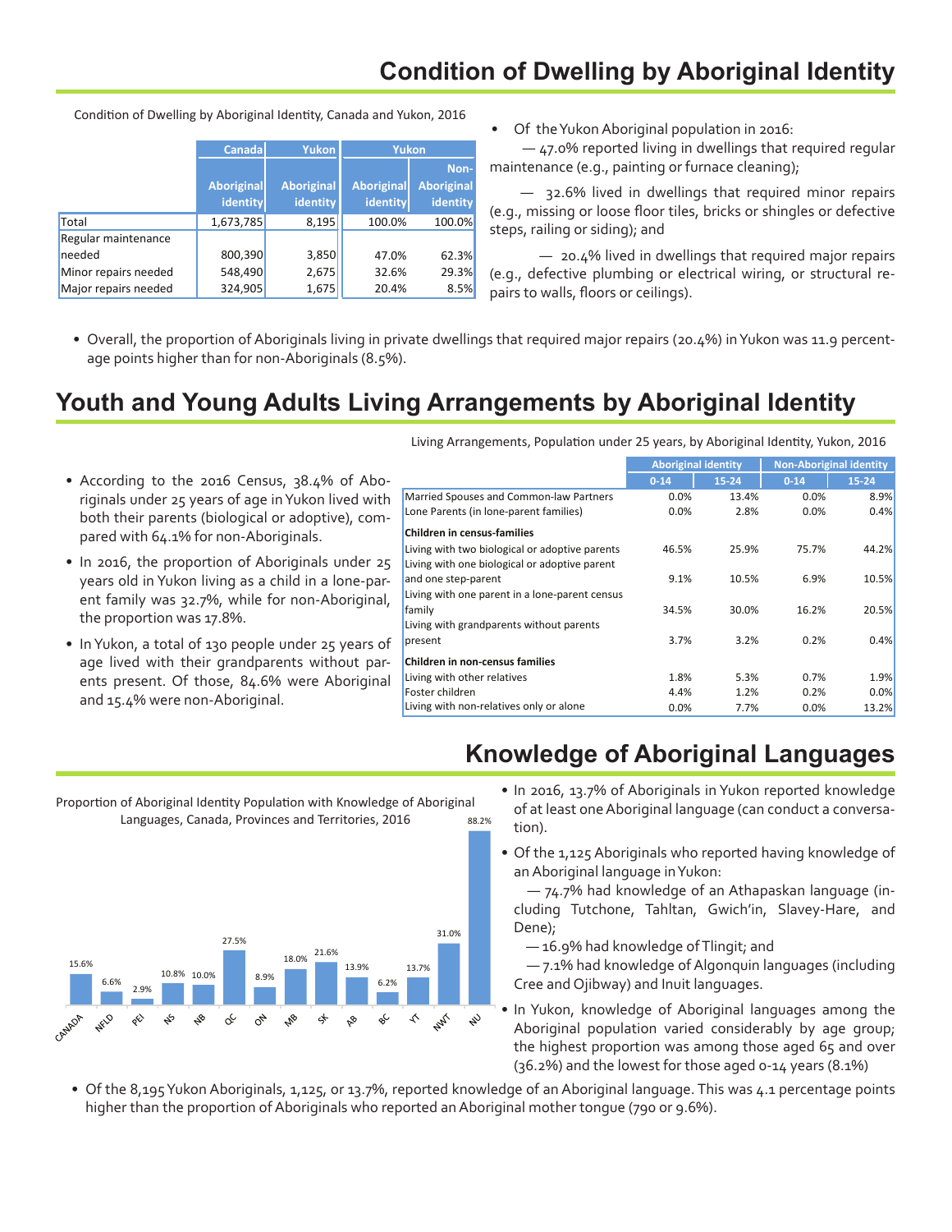# **Condition of Dwelling by Aboriginal Identity**

|                      | <b>Canada</b>     | Yukon             | <b>Yukon</b>      |                   |
|----------------------|-------------------|-------------------|-------------------|-------------------|
|                      |                   |                   |                   | Non-              |
|                      | <b>Aboriginal</b> | <b>Aboriginal</b> | <b>Aboriginal</b> | <b>Aboriginal</b> |
|                      | identity          | identity          | identity          | identity          |
| Total                | 1,673,785         | 8,195             | 100.0%            | 100.0%            |
| Regular maintenance  |                   |                   |                   |                   |
| needed               | 800,390           | 3,850             | 47.0%             | 62.3%             |
| Minor repairs needed | 548,490           | 2,675             | 32.6%             | 29.3%             |
| Major repairs needed | 324,905           | 1,675             | 20.4%             | 8.5%              |

Condition of Dwelling by Aboriginal Identity, Canada and Yukon, 2016

Of the Yukon Aboriginal population in 2016:

 — 47.0% reported living in dwellings that required regular maintenance (e.g., painting or furnace cleaning);

 $-$  32.6% lived in dwellings that required minor repairs (e.g., missing or loose floor tiles, bricks or shingles or defective steps, railing or siding); and

 — 20.4% lived in dwellings that required major repairs (e.g., defective plumbing or electrical wiring, or structural repairs to walls, floors or ceilings).

• Overall, the proportion of Aboriginals living in private dwellings that required major repairs (20.4%) in Yukon was 11.9 percentage points higher than for non-Aboriginals (8.5%).

### **Youth and Young Adults Living Arrangements by Aboriginal Identity**

- According to the 2016 Census, 38.4% of Aboriginals under 25 years of age inYukon lived with both their parents (biological or adoptive), compared with 64.1% for non-Aboriginals.
- In 2016, the proportion of Aboriginals under 25 years old in Yukon living as a child in a lone-parent family was 32.7%, while for non-Aboriginal, the proportion was 17.8%.
- In Yukon, a total of 130 people under 25 years of age lived with their grandparents without parents present. Of those, 84.6% were Aboriginal and 15.4% were non-Aboriginal.

Living Arrangements, Population under 25 years, by Aboriginal Identity, Yukon, 2016

|                                                | <b>Aboriginal identity</b> |           |          | <b>Non-Aboriginal identity</b> |
|------------------------------------------------|----------------------------|-----------|----------|--------------------------------|
|                                                | $0 - 14$                   | $15 - 24$ | $0 - 14$ | 15-24                          |
| Married Spouses and Common-law Partners        | 0.0%                       | 13.4%     | 0.0%     | 8.9%                           |
| Lone Parents (in lone-parent families)         | 0.0%                       | 2.8%      | 0.0%     | 0.4%                           |
| <b>Children in census-families</b>             |                            |           |          |                                |
| Living with two biological or adoptive parents | 46.5%                      | 25.9%     | 75.7%    | 44.2%                          |
| Living with one biological or adoptive parent  |                            |           |          |                                |
| and one step-parent                            | 9.1%                       | 10.5%     | 6.9%     | 10.5%                          |
| Living with one parent in a lone-parent census |                            |           |          |                                |
| family                                         | 34.5%                      | 30.0%     | 16.2%    | 20.5%                          |
| Living with grandparents without parents       |                            |           |          |                                |
| present                                        | 3.7%                       | 3.2%      | 0.2%     | 0.4%                           |
| <b>Children in non-census families</b>         |                            |           |          |                                |
| Living with other relatives                    | 1.8%                       | 5.3%      | 0.7%     | 1.9%                           |
| Foster children                                | 4.4%                       | 1.2%      | 0.2%     | 0.0%                           |
| Living with non-relatives only or alone        | 0.0%                       | 7.7%      | 0.0%     | 13.2%                          |

#### 88.2% Proportion of Aboriginal Identity Population with Knowledge of Proportion of Aboriginal Identity Population with Knowledge of Aboriginal Aboriginal Languages, Canada, Provinces and Territories, 2016 Languages, Canada, Provinces and Territories, 2016



• In 2016, 13.7% of Aboriginals in Yukon reported knowledge of at least one Aboriginal language (can conduct a conversation).

**Knowledge of Aboriginal Languages**

• Of the 1,125 Aboriginals who reported having knowledge of anAboriginal language inYukon: 

 — 74.7% had knowledge of an Athapaskan language (including Tutchone, Tahltan, Gwich'in, Slavey-Hare, and Dene); 

— 16.9% had knowledge ofTlingit; and

 — 7.1% had knowledge of Algonquin languages (including Cree and Ojibway) and Inuit languages.

• In Yukon, knowledge of Aboriginal languages among the Aboriginal population varied considerably by age group; the highest proportion was among those aged 65 and over (36.2%) and the lowest for those aged 0-14 years (8.1%)

• Of the 8,195Yukon Aboriginals, 1,125, or 13.7%, reported knowledge of an Aboriginal language. This was 4.1 percentage points higher than the proportion of Aboriginals who reported an Aboriginal mother tongue (790 or 9.6%).